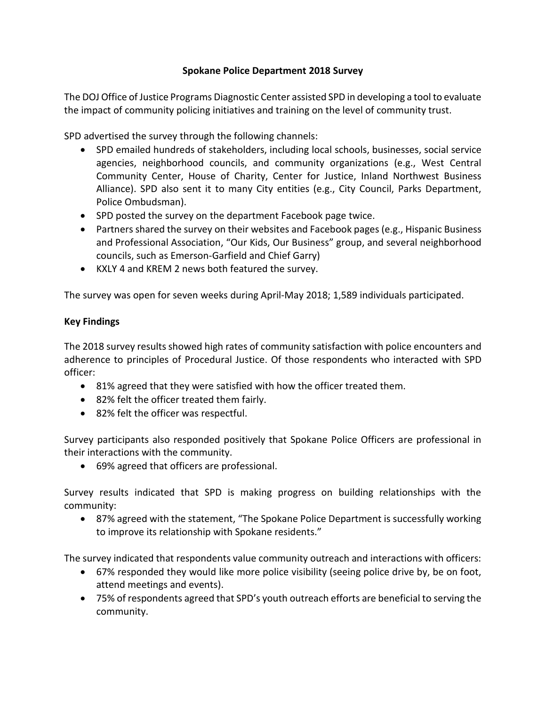## **Spokane Police Department 2018 Survey**

The DOJ Office of Justice Programs Diagnostic Center assisted SPD in developing a tool to evaluate the impact of community policing initiatives and training on the level of community trust.

SPD advertised the survey through the following channels:

- SPD emailed hundreds of stakeholders, including local schools, businesses, social service agencies, neighborhood councils, and community organizations (e.g., West Central Community Center, House of Charity, Center for Justice, Inland Northwest Business Alliance). SPD also sent it to many City entities (e.g., City Council, Parks Department, Police Ombudsman).
- SPD posted the survey on the department Facebook page twice.
- Partners shared the survey on their websites and Facebook pages (e.g., Hispanic Business and Professional Association, "Our Kids, Our Business" group, and several neighborhood councils, such as Emerson-Garfield and Chief Garry)
- KXLY 4 and KREM 2 news both featured the survey.

The survey was open for seven weeks during April-May 2018; 1,589 individuals participated.

# **Key Findings**

The 2018 survey results showed high rates of community satisfaction with police encounters and adherence to principles of Procedural Justice. Of those respondents who interacted with SPD officer:

- 81% agreed that they were satisfied with how the officer treated them.
- 82% felt the officer treated them fairly.
- 82% felt the officer was respectful.

Survey participants also responded positively that Spokane Police Officers are professional in their interactions with the community.

69% agreed that officers are professional.

Survey results indicated that SPD is making progress on building relationships with the community:

 87% agreed with the statement, "The Spokane Police Department is successfully working to improve its relationship with Spokane residents."

The survey indicated that respondents value community outreach and interactions with officers:

- 67% responded they would like more police visibility (seeing police drive by, be on foot, attend meetings and events).
- 75% of respondents agreed that SPD's youth outreach efforts are beneficial to serving the community.